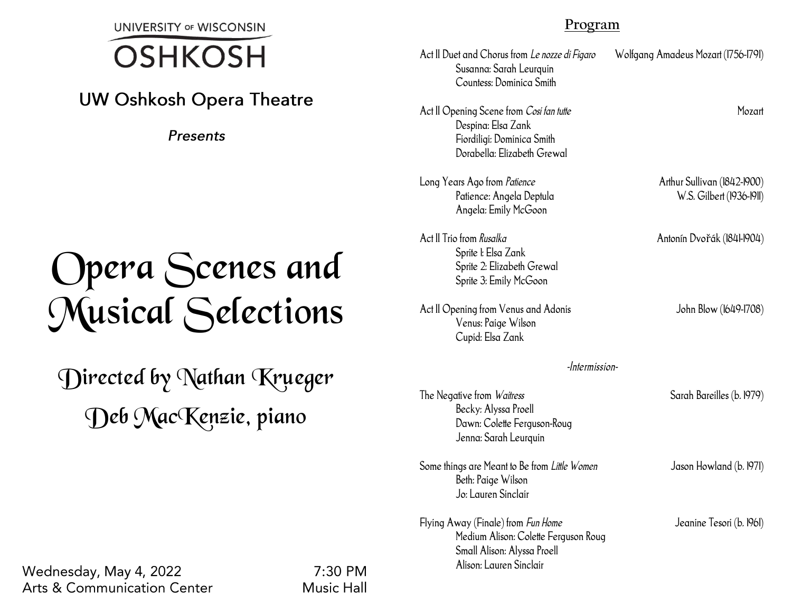**UNIVERSITY OF WISCONSIN** 

## 7  $\overline{a}$

## **UW Oshkosh Opera Theatre**

**Presents** 

# Opera Scenes and Musical Selections

Directed by Nathan Krueger Deb MacKenzie, piano

### **Program**

| Act II Duet and Chorus from Le nozze di Figaro<br>Susanna: Sarah Leurquin<br>Countess: Dominica Smith                                | Wolfgang Amadeus Mozart (1756-1791)                     |
|--------------------------------------------------------------------------------------------------------------------------------------|---------------------------------------------------------|
| Act II Opening Scene from Cosi fan tutte<br>Despina: Elsa Zank<br>Fiordiligi: Dominica Smith<br>Dorabella: Elizabeth Grewal          | Mozart                                                  |
| Long Years Ago from Patience<br>Patience: Angela Deptula<br>Angela: Emily McGoon                                                     | Arthur Sullivan (1842-1900)<br>W.S. Gilbert (1936-1911) |
| Act II Trio from Rusalka<br>Sprite I: Elsa Zank<br>Sprite 2: Elizabeth Grewal<br>Sprite 3: Emily McGoon                              | Antonín Dvořák (1841-1904)                              |
| Act II Opening from Venus and Adonis<br>Venus: Paige Wilson<br>Cupid: Elsa Zank                                                      | John Blow (1649-1708)                                   |
| -Intermission-                                                                                                                       |                                                         |
| The Negative from <i>Waitress</i><br>Becky: Alyssa Proell<br>Dawn: Colette Ferguson-Roug<br>Jenna: Sarah Leurquin                    | Sarah Bareilles (b. 1979)                               |
| Some things are Meant to Be from Little Women<br>Beth: Paige Wilson<br>Jo: Lauren Sinclair                                           | Jason Howland (b. 1971)                                 |
| Flying Away (Finale) from Fun Home<br>Medium Alison: Colette Ferguson Roug<br>Small Alison: Alyssa Proell<br>Alison: Lauren Sinclair | Jeanine Tesori (b. 1961)                                |

Wednesday, May 4, 2022 **Arts & Communication Center** 

 $7:30$  PM **Music Hall**